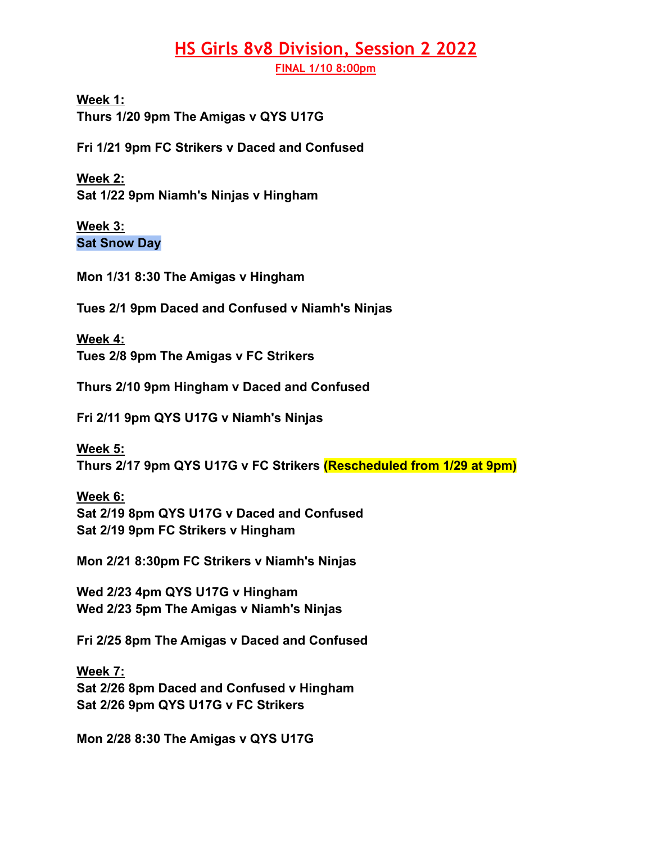## **HS Girls 8v8 Division, Session 2 2022**

**FINAL 1/10 8:00pm**

**Week 1: Thurs 1/20 9pm The Amigas v QYS U17G**

**Fri 1/21 9pm FC Strikers v Daced and Confused**

**Week 2: Sat 1/22 9pm Niamh's Ninjas v Hingham**

**Week 3: Sat Snow Day**

**Mon 1/31 8:30 The Amigas v Hingham**

**Tues 2/1 9pm Daced and Confused v Niamh's Ninjas**

**Week 4: Tues 2/8 9pm The Amigas v FC Strikers**

**Thurs 2/10 9pm Hingham v Daced and Confused**

**Fri 2/11 9pm QYS U17G v Niamh's Ninjas**

**Week 5: Thurs 2/17 9pm QYS U17G v FC Strikers (Rescheduled from 1/29 at 9pm)**

**Week 6: Sat 2/19 8pm QYS U17G v Daced and Confused Sat 2/19 9pm FC Strikers v Hingham**

**Mon 2/21 8:30pm FC Strikers v Niamh's Ninjas**

**Wed 2/23 4pm QYS U17G v Hingham Wed 2/23 5pm The Amigas v Niamh's Ninjas**

**Fri 2/25 8pm The Amigas v Daced and Confused**

**Week 7: Sat 2/26 8pm Daced and Confused v Hingham Sat 2/26 9pm QYS U17G v FC Strikers**

**Mon 2/28 8:30 The Amigas v QYS U17G**